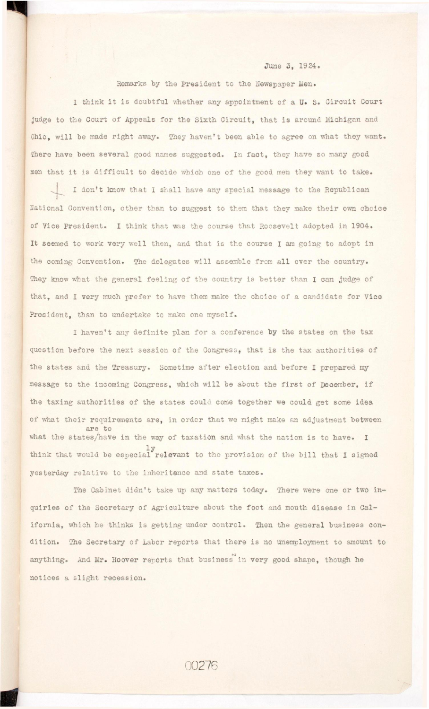## June 3. 1924.

Remarks by the President to the Newspaper Men.

I think it is doubtful whether any appointment of a U. S. Circuit Court **judge to the Court of Appeals for the Sixth Circuit , that i s around Michigan and**  Ohio, will be made right away. They haven't been able to agree on what they want. There have been several good names suggested. In fact, they have so many good men that it is difficult to decide which one of the good men they want to take.

I don't know that I shall have any special message to the Republican **National Convention, other than to suggest to them that they make their own choice**  of Vice President. I think that was the course that Roosevelt adopted in 1904. It seemed to work very well then, and that is the course I am going to adopt in the coming Convention. The delegates will assemble from all over the country. **They know what the general feeling of the country is better than I can judge of that, and I very much prefer to have them make the choice of a candidate for Vice President, than to undertake to make one myself.** 

I haven't any definite plan for a conference by the states on the tax question before the next session of the Congress, that is the tax authorities of the states and the Treasury. Sometime after election and before I prepared my message to the incoming Congress, which will be about the first of December, if **the taxing authorities of the states could come together we could get some idea**  of what their requirements are, in order that we might make an adjustment between **are to**  what the states/have in the way of taxation and what the nation is to have. I think that would be especial relevant to the provision of the bill that I signed yesterday relative to the inheritance and state taxes.

The Cabinet didn't take up any matters today. There were one or two inquiries of the Secretary of Agriculture about the foot and mouth disease in California, which he thinks is getting under control. Then the general business con-

dition. The Secretary of Labor reports that there is no unemployment to amount to **dition . The Secretary of Labor reports that there i s no unemployment to amount to to**  notices a slight recession.

00276